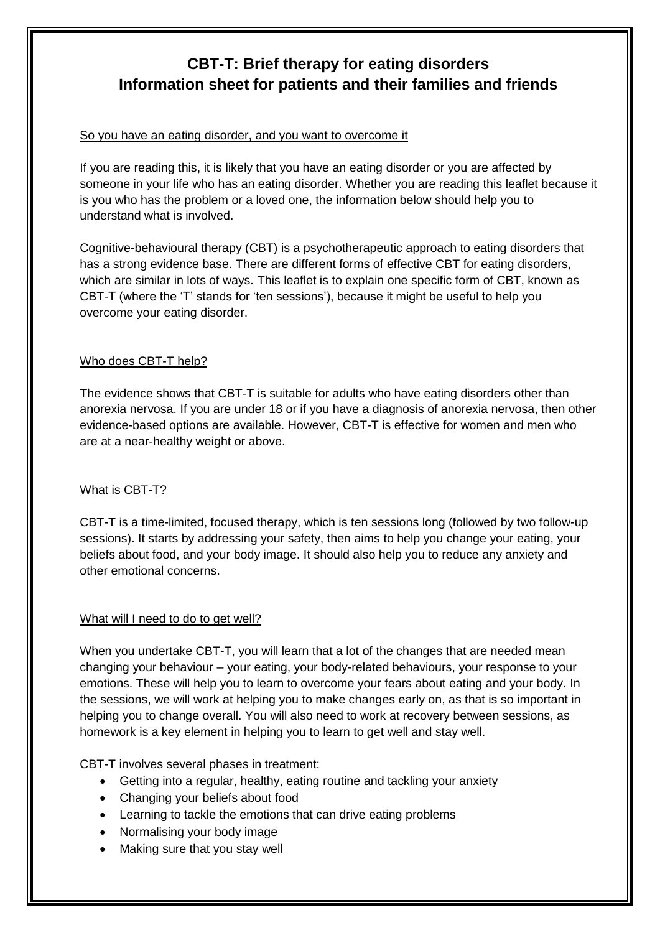# **CBT-T: Brief therapy for eating disorders Information sheet for patients and their families and friends**

# So you have an eating disorder, and you want to overcome it

If you are reading this, it is likely that you have an eating disorder or you are affected by someone in your life who has an eating disorder. Whether you are reading this leaflet because it is you who has the problem or a loved one, the information below should help you to understand what is involved.

Cognitive-behavioural therapy (CBT) is a psychotherapeutic approach to eating disorders that has a strong evidence base. There are different forms of effective CBT for eating disorders, which are similar in lots of ways. This leaflet is to explain one specific form of CBT, known as CBT-T (where the 'T' stands for 'ten sessions'), because it might be useful to help you overcome your eating disorder.

# Who does CBT-T help?

The evidence shows that CBT-T is suitable for adults who have eating disorders other than anorexia nervosa. If you are under 18 or if you have a diagnosis of anorexia nervosa, then other evidence-based options are available. However, CBT-T is effective for women and men who are at a near-healthy weight or above.

# What is CBT-T?

CBT-T is a time-limited, focused therapy, which is ten sessions long (followed by two follow-up sessions). It starts by addressing your safety, then aims to help you change your eating, your beliefs about food, and your body image. It should also help you to reduce any anxiety and other emotional concerns.

#### What will I need to do to get well?

When you undertake CBT-T, you will learn that a lot of the changes that are needed mean changing your behaviour – your eating, your body-related behaviours, your response to your emotions. These will help you to learn to overcome your fears about eating and your body. In the sessions, we will work at helping you to make changes early on, as that is so important in helping you to change overall. You will also need to work at recovery between sessions, as homework is a key element in helping you to learn to get well and stay well.

CBT-T involves several phases in treatment:

- Getting into a regular, healthy, eating routine and tackling your anxiety
- Changing your beliefs about food
- Learning to tackle the emotions that can drive eating problems
- Normalising your body image
- Making sure that you stay well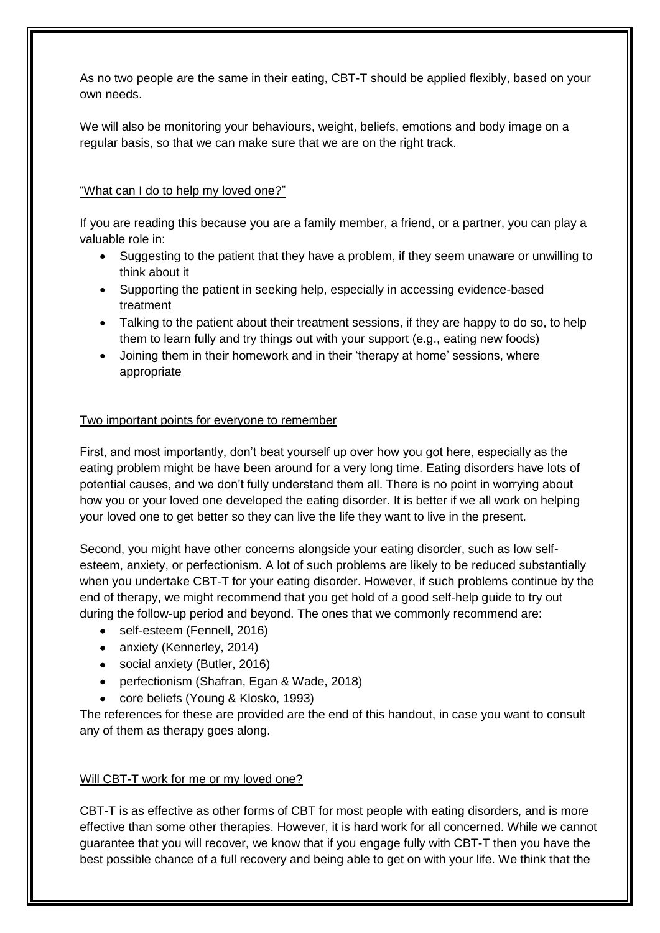As no two people are the same in their eating, CBT-T should be applied flexibly, based on your own needs.

We will also be monitoring your behaviours, weight, beliefs, emotions and body image on a regular basis, so that we can make sure that we are on the right track.

# "What can I do to help my loved one?"

If you are reading this because you are a family member, a friend, or a partner, you can play a valuable role in:

- Suggesting to the patient that they have a problem, if they seem unaware or unwilling to think about it
- Supporting the patient in seeking help, especially in accessing evidence-based treatment
- Talking to the patient about their treatment sessions, if they are happy to do so, to help them to learn fully and try things out with your support (e.g., eating new foods)
- Joining them in their homework and in their 'therapy at home' sessions, where appropriate

#### Two important points for everyone to remember

First, and most importantly, don't beat yourself up over how you got here, especially as the eating problem might be have been around for a very long time. Eating disorders have lots of potential causes, and we don't fully understand them all. There is no point in worrying about how you or your loved one developed the eating disorder. It is better if we all work on helping your loved one to get better so they can live the life they want to live in the present.

Second, you might have other concerns alongside your eating disorder, such as low selfesteem, anxiety, or perfectionism. A lot of such problems are likely to be reduced substantially when you undertake CBT-T for your eating disorder. However, if such problems continue by the end of therapy, we might recommend that you get hold of a good self-help guide to try out during the follow-up period and beyond. The ones that we commonly recommend are:

- self-esteem (Fennell, 2016)
- anxiety (Kennerley, 2014)
- social anxiety (Butler, 2016)
- perfectionism (Shafran, Egan & Wade, 2018)
- core beliefs (Young & Klosko, 1993)

The references for these are provided are the end of this handout, in case you want to consult any of them as therapy goes along.

#### Will CBT-T work for me or my loved one?

CBT-T is as effective as other forms of CBT for most people with eating disorders, and is more effective than some other therapies. However, it is hard work for all concerned. While we cannot guarantee that you will recover, we know that if you engage fully with CBT-T then you have the best possible chance of a full recovery and being able to get on with your life. We think that the